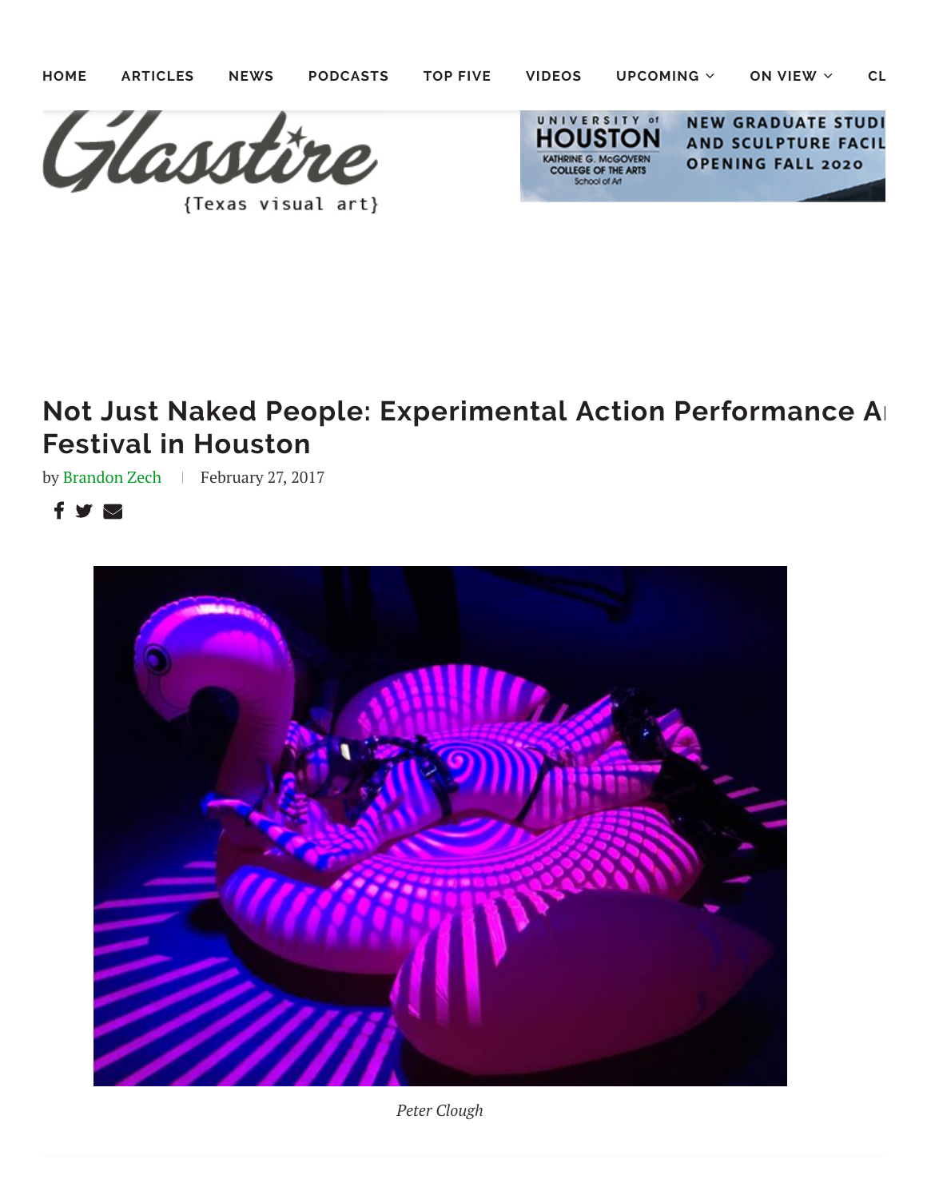

## **Not Just Naked People: Experimental Action Performance Ar Festival in Houston**

by [Brandon](https://glasstire.com/author/brandon-zech/) Zech | February 27, 2017

 $f \vee g$ 



*Peter Clough*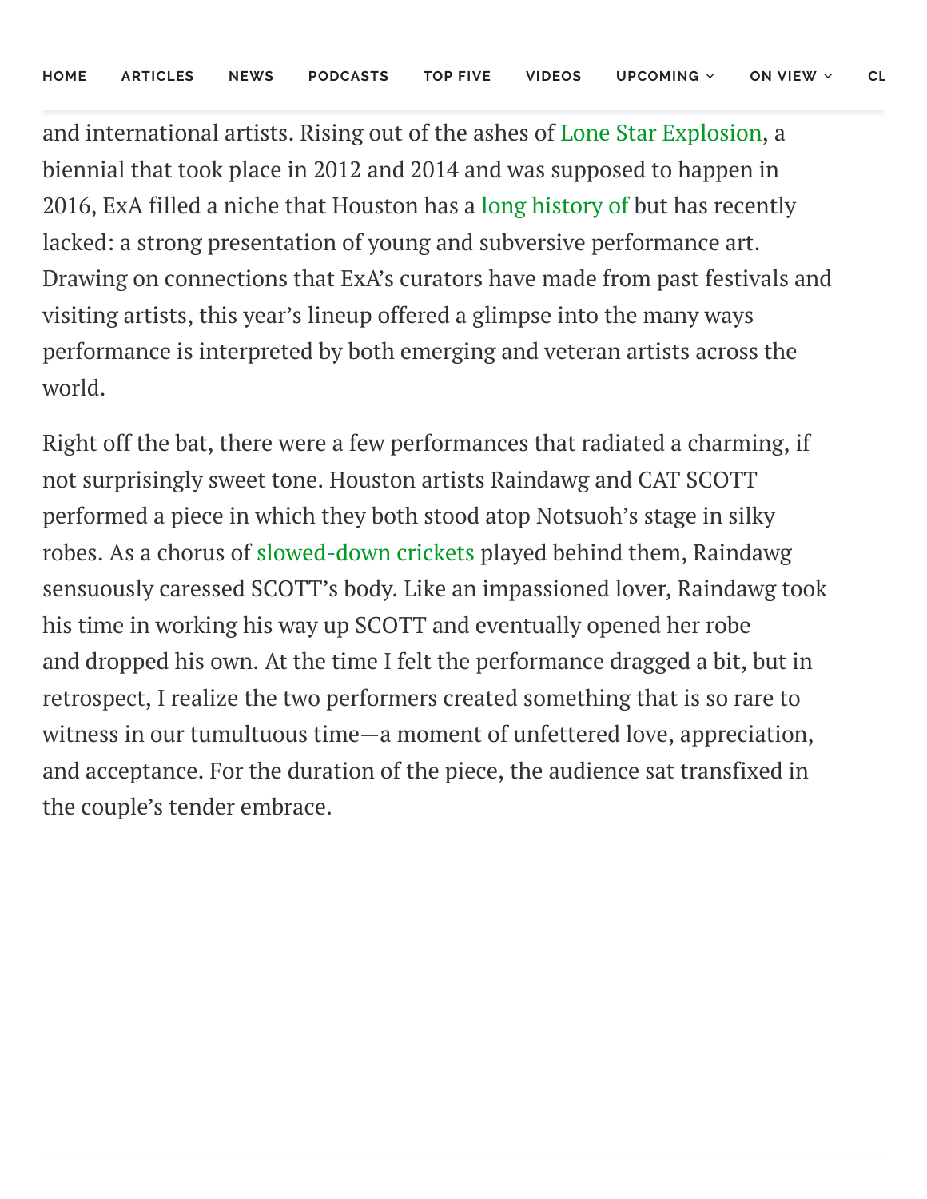and international artists. Rising out of the ashes of Lone Star [Explosion,](https://lonestarexplosion.org/) a biennial that took place in 2012 and 2014 and was supposed to happen in 2016, ExA filled a niche that Houston has a long [history](https://glasstire.com/2015/07/05/oofty-goofty-jim-pirtle-origins-of-performance-art-in-houston/) of but has recently lacked: a strong presentation of young and subversive performance art. Drawing on connections that ExA's curators have made from past festivals and visiting artists, this year's lineup offered a glimpse into the many ways performance is interpreted by both emerging and veteran artists across the world.

Right off the bat, there were a few performances that radiated a charming, if not surprisingly sweet tone. Houston artists Raindawg and CAT SCOTT performed a piece in which they both stood atop Notsuoh's stage in silky robes. As a chorus of [slowed-down](https://www.snopes.com/critters/gnus/cricketsong.asp) crickets played behind them, Raindawg sensuously caressed SCOTT's body. Like an impassioned lover, Raindawg took his time in working his way up SCOTT and eventually opened her robe and dropped his own. At the time I felt the performance dragged a bit, but in retrospect, I realize the two performers created something that is so rare to witness in our tumultuous time—a moment of unfettered love, appreciation, and acceptance. For the duration of the piece, the audience sat transfixed in the couple's tender embrace.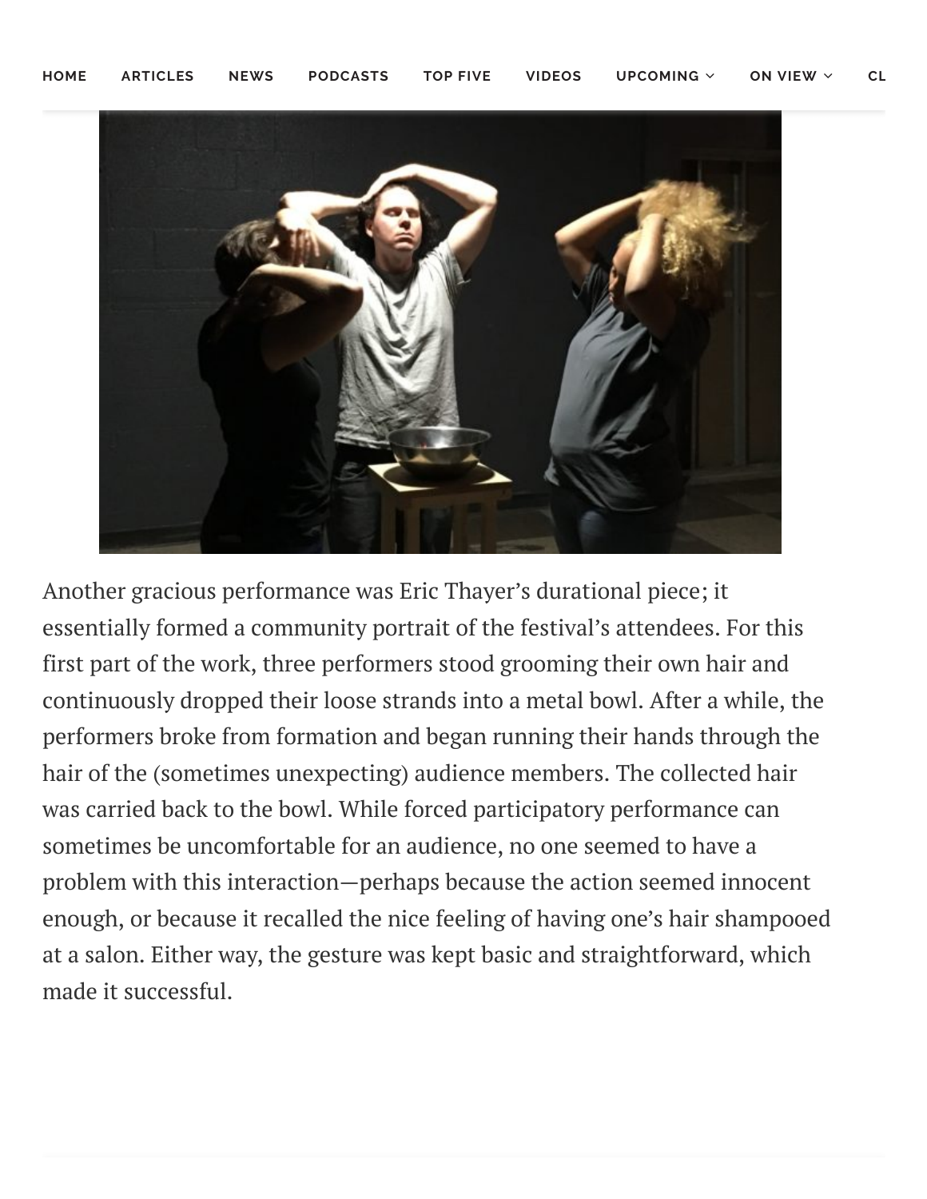

Another gracious performance was Eric Thayer's durational piece; it essentially formed a community portrait of the festival's attendees. For this first part of the work, three performers stood grooming their own hair and continuously dropped their loose strands into a metal bowl. After a while, the performers broke from formation and began running their hands through the hair of the (sometimes unexpecting) audience members. The collected hair was carried back to the bowl. While forced participatory performance can sometimes be uncomfortable for an audience, no one seemed to have a problem with this interaction—perhaps because the action seemed innocent enough, or because it recalled the nice feeling of having one's hair shampooed at a salon. Either way, the gesture was kept basic and straightforward, which made it successful.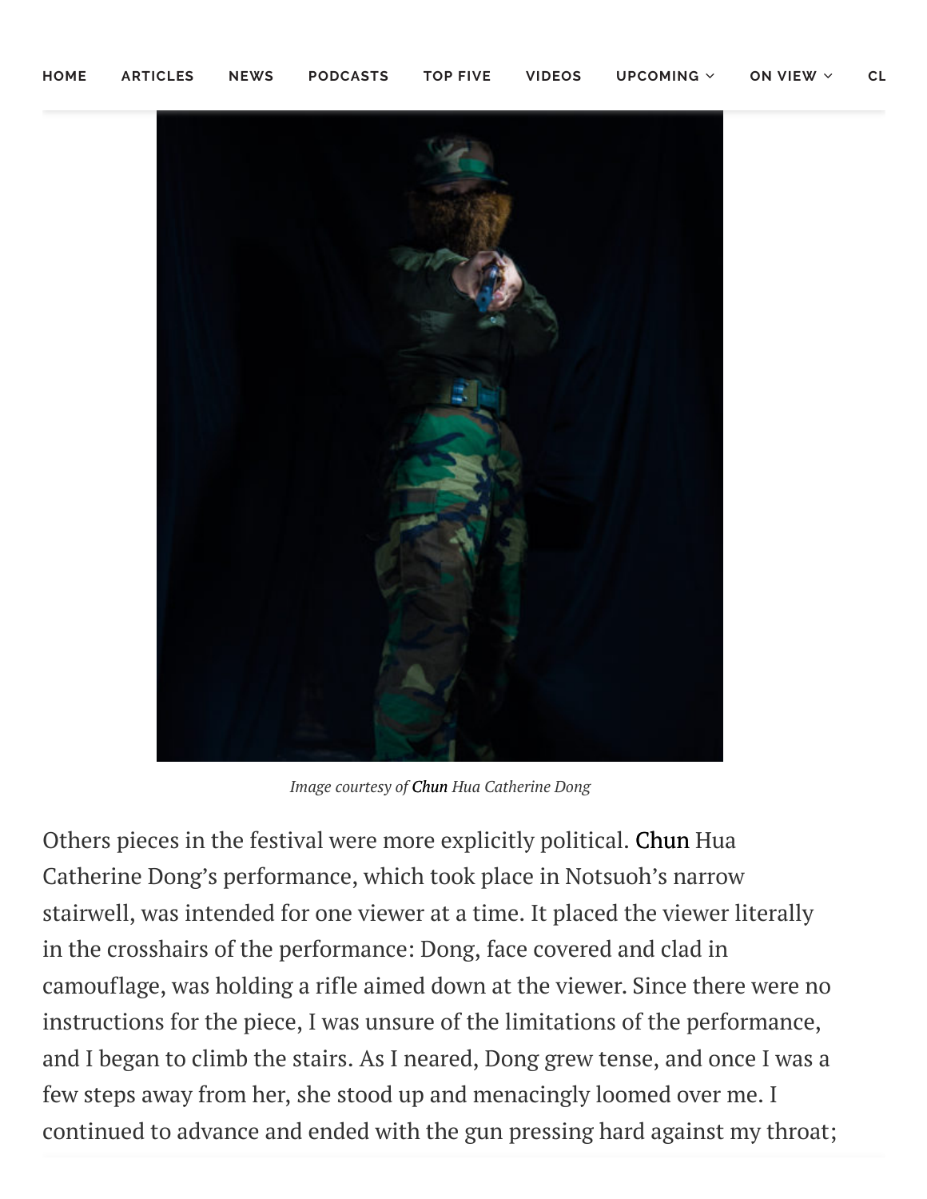

*Image courtesy of Chun Hua Catherine Dong*

Others pieces in the festival were more explicitly political. Chun Hua Catherine Dong's performance, which took place in Notsuoh's narrow stairwell, was intended for one viewer at a time. It placed the viewer literally in the crosshairs of the performance: Dong, face covered and clad in camouflage, was holding a rifle aimed down at the viewer. Since there were no instructions for the piece, I was unsure of the limitations of the performance, and I began to climb the stairs. As I neared, Dong grew tense, and once I was a few steps away from her, she stood up and menacingly loomed over me. I continued to advance and ended with the gun pressing hard against my throat;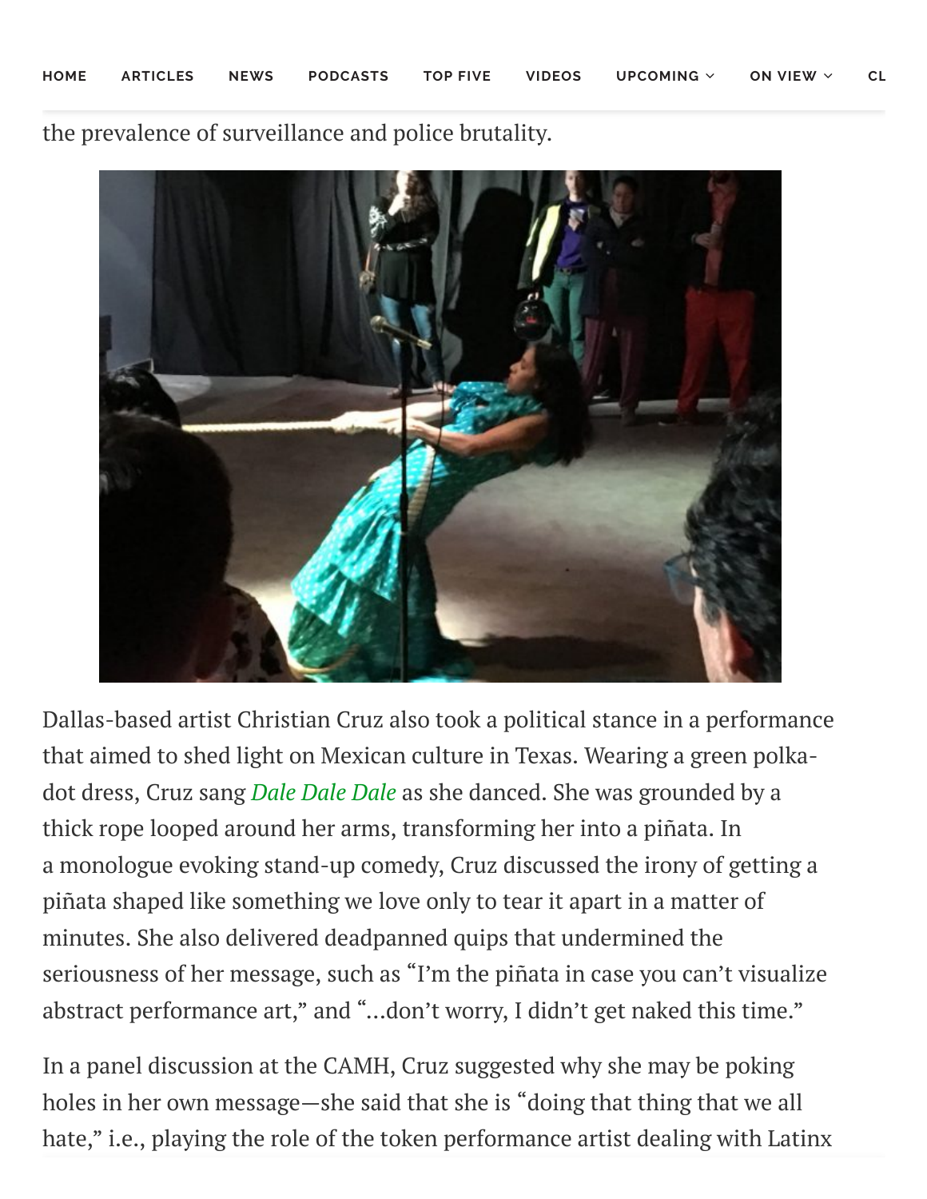the prevalence of surveillance and police brutality.



Dallas-based artist Christian Cruz also took a political stance in a performance that aimed to shed light on Mexican culture in Texas. Wearing a green polkadot dress, Cruz sang *Dale Dale [Dale](https://www.youtube.com/watch?v=548S-513TAI)* as she danced. She was grounded by a thick rope looped around her arms, transforming her into a piñata. In a monologue evoking stand-up comedy, Cruz discussed the irony of getting a piñata shaped like something we love only to tear it apart in a matter of minutes. She also delivered deadpanned quips that undermined the seriousness of her message, such as "I'm the piñata in case you can't visualize abstract performance art," and "...don't worry, I didn't get naked this time."

In a panel discussion at the CAMH, Cruz suggested why she may be poking holes in her own message—she said that she is "doing that thing that we all hate," i.e., playing the role of the token performance artist dealing with Latinx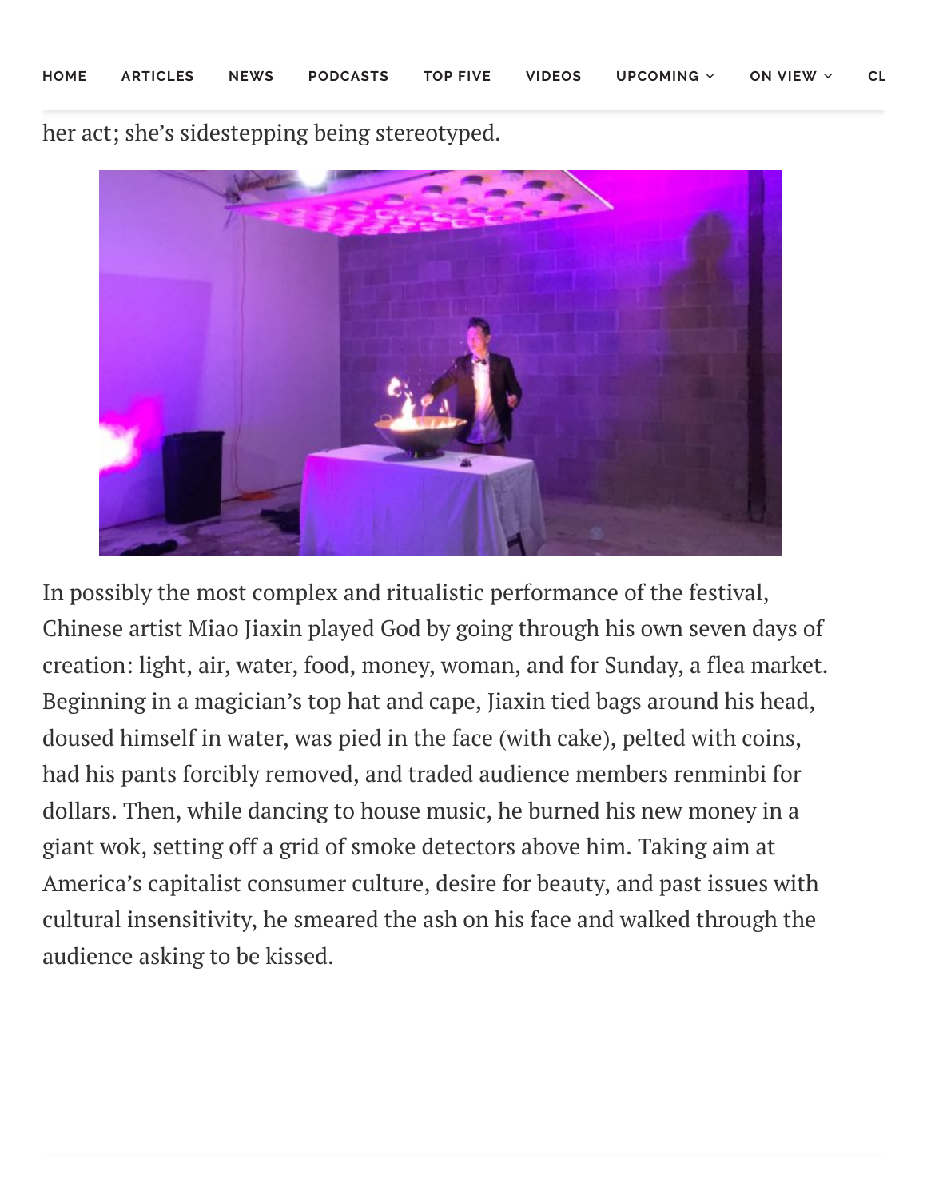her act; she's sidestepping being stereotyped.



In possibly the most complex and ritualistic performance of the festival, Chinese artist Miao Jiaxin played God by going through his own seven days of creation: light, air, water, food, money, woman, and for Sunday, a flea market. Beginning in a magician's top hat and cape, Jiaxin tied bags around his head, doused himself in water, was pied in the face (with cake), pelted with coins, had his pants forcibly removed, and traded audience members renminbi for dollars. Then, while dancing to house music, he burned his new money in a giant wok, setting off a grid of smoke detectors above him. Taking aim at America's capitalist consumer culture, desire for beauty, and past issues with cultural insensitivity, he smeared the ash on his face and walked through the audience asking to be kissed.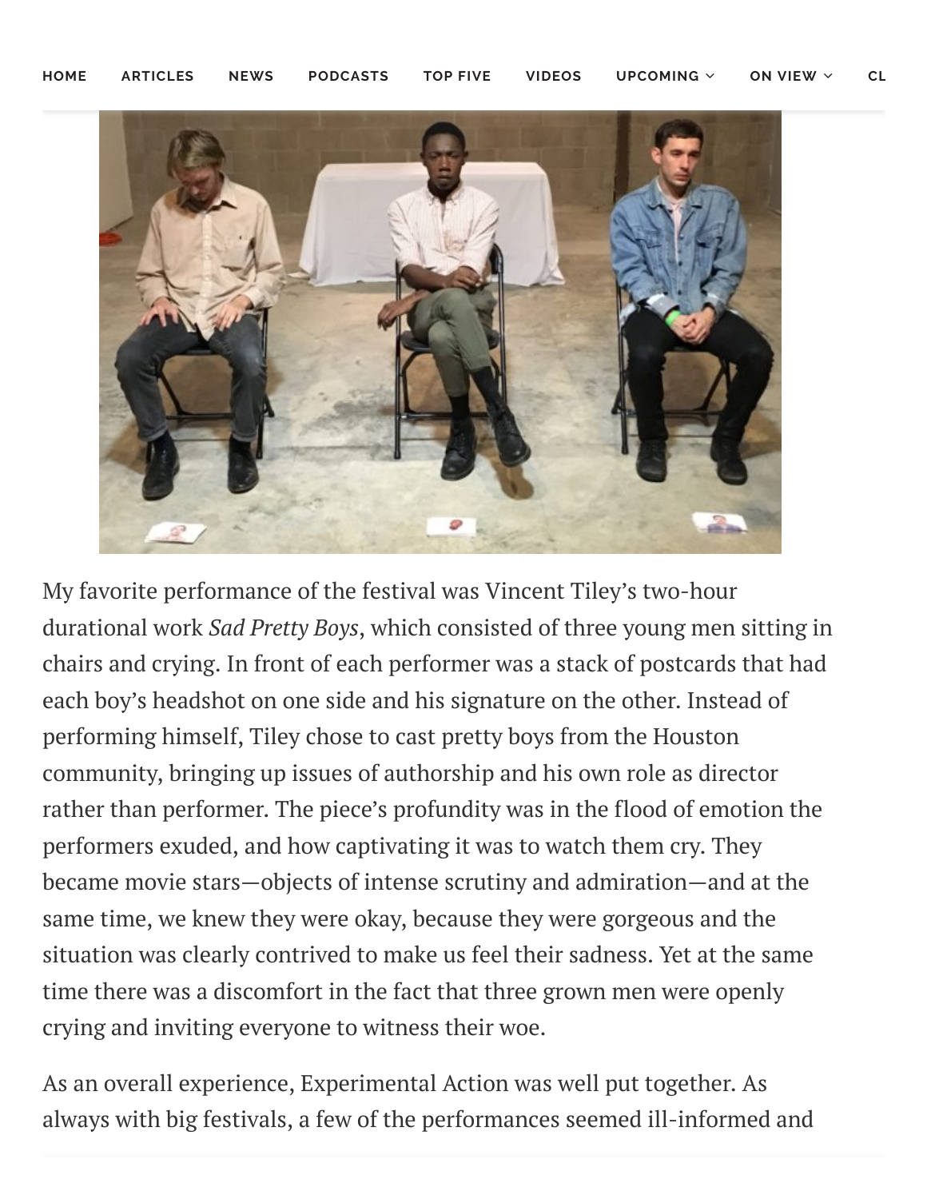

My favorite performance of the festival was Vincent Tiley's two-hour durational work *Sad Pretty Boys*, which consisted of three young men sitting in chairs and crying. In front of each performer was a stack of postcards that had each boy's headshot on one side and his signature on the other. Instead of performing himself, Tiley chose to cast pretty boys from the Houston community, bringing up issues of authorship and his own role as director rather than performer. The piece's profundity was in the flood of emotion the performers exuded, and how captivating it was to watch them cry. They became movie stars—objects of intense scrutiny and admiration—and at the same time, we knew they were okay, because they were gorgeous and the situation was clearly contrived to make us feel their sadness. Yet at the same time there was a discomfort in the fact that three grown men were openly crying and inviting everyone to witness their woe.

As an overall experience, Experimental Action was well put together. As always with big festivals, a few of the performances seemed ill-informed and